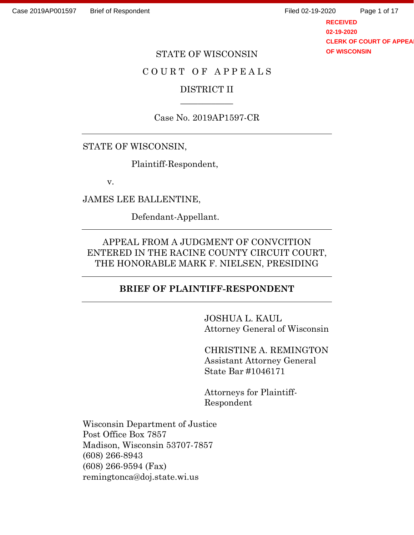**RECEIVED 02-19-2020 CLERK OF COURT OF APPEA OF WISCONSIN** Page 1 of 17

### STATE OF WISCONSIN

## COURT OF APPEALS

## DISTRICT II \_\_\_\_\_\_\_\_\_\_\_\_

## Case No. 2019AP1597-CR

## STATE OF WISCONSIN,

Plaintiff-Respondent,

v.

JAMES LEE BALLENTINE,

Defendant-Appellant.

APPEAL FROM A JUDGMENT OF CONVCITION ENTERED IN THE RACINE COUNTY CIRCUIT COURT, THE HONORABLE MARK F. NIELSEN, PRESIDING

## **BRIEF OF PLAINTIFF-RESPONDENT**

JOSHUA L. KAUL Attorney General of Wisconsin

CHRISTINE A. REMINGTON Assistant Attorney General State Bar #1046171

Attorneys for Plaintiff-Respondent

Wisconsin Department of Justice Post Office Box 7857 Madison, Wisconsin 53707-7857 (608) 266-8943 (608) 266-9594 (Fax) remingtonca@doj.state.wi.us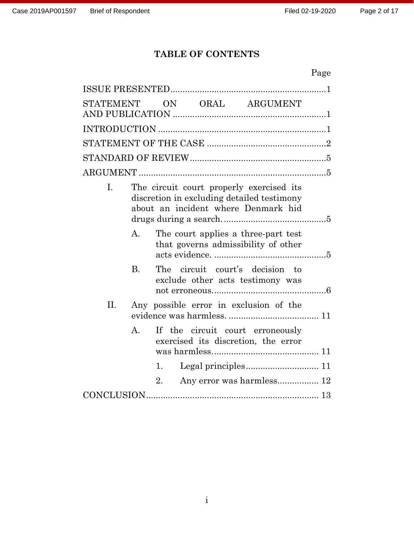# **TABLE OF CONTENTS**

|           |                                                                                                                               |    |  |                                                                            | Page |  |
|-----------|-------------------------------------------------------------------------------------------------------------------------------|----|--|----------------------------------------------------------------------------|------|--|
|           |                                                                                                                               |    |  |                                                                            |      |  |
| STATEMENT |                                                                                                                               |    |  | ON ORAL ARGUMENT                                                           |      |  |
|           |                                                                                                                               |    |  |                                                                            |      |  |
|           |                                                                                                                               |    |  |                                                                            |      |  |
|           |                                                                                                                               |    |  |                                                                            |      |  |
|           |                                                                                                                               |    |  |                                                                            |      |  |
| I.        | The circuit court properly exercised its<br>discretion in excluding detailed testimony<br>about an incident where Denmark hid |    |  |                                                                            |      |  |
|           | $\mathsf{A}$ .                                                                                                                |    |  | The court applies a three-part test<br>that governs admissibility of other |      |  |
|           | <b>B.</b>                                                                                                                     |    |  | The circuit court's decision to<br>exclude other acts testimony was        |      |  |
| II.       |                                                                                                                               |    |  | Any possible error in exclusion of the                                     |      |  |
|           | $A_{\cdot}$                                                                                                                   |    |  | If the circuit court erroneously<br>exercised its discretion, the error    |      |  |
|           |                                                                                                                               | 1. |  |                                                                            |      |  |
|           |                                                                                                                               | 2. |  | Any error was harmless 12                                                  |      |  |
|           |                                                                                                                               |    |  |                                                                            |      |  |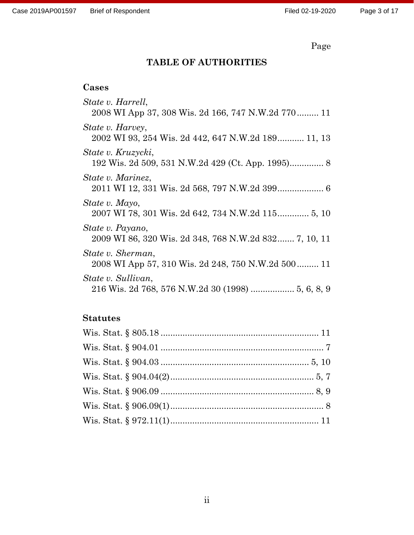# Page

# **TABLE OF AUTHORITIES**

# **Cases**

| State v. Harrell,<br>2008 WI App 37, 308 Wis. 2d 166, 747 N.W.2d 770 11   |
|---------------------------------------------------------------------------|
| State v. Harvey,<br>2002 WI 93, 254 Wis. 2d 442, 647 N.W.2d 189 11, 13    |
| State v. Kruzycki,                                                        |
| State v. Marinez,                                                         |
| State v. Mayo,<br>2007 WI 78, 301 Wis. 2d 642, 734 N.W.2d 115 5, 10       |
| State v. Payano,<br>2009 WI 86, 320 Wis. 2d 348, 768 N.W.2d 832 7, 10, 11 |
| State v. Sherman,<br>2008 WI App 57, 310 Wis. 2d 248, 750 N.W.2d 500 11   |
| State v. Sullivan,<br>216 Wis. 2d 768, 576 N.W.2d 30 (1998)  5, 6, 8, 9   |

# **Statutes**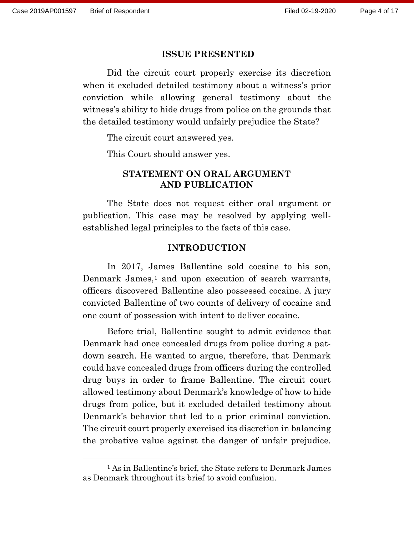#### **ISSUE PRESENTED**

Did the circuit court properly exercise its discretion when it excluded detailed testimony about a witness's prior conviction while allowing general testimony about the witness's ability to hide drugs from police on the grounds that the detailed testimony would unfairly prejudice the State?

The circuit court answered yes.

This Court should answer yes.

## **STATEMENT ON ORAL ARGUMENT AND PUBLICATION**

The State does not request either oral argument or publication. This case may be resolved by applying wellestablished legal principles to the facts of this case.

#### **INTRODUCTION**

In 2017, James Ballentine sold cocaine to his son, Denmark James,<sup>[1](#page-3-0)</sup> and upon execution of search warrants, officers discovered Ballentine also possessed cocaine. A jury convicted Ballentine of two counts of delivery of cocaine and one count of possession with intent to deliver cocaine.

Before trial, Ballentine sought to admit evidence that Denmark had once concealed drugs from police during a patdown search. He wanted to argue, therefore, that Denmark could have concealed drugs from officers during the controlled drug buys in order to frame Ballentine. The circuit court allowed testimony about Denmark's knowledge of how to hide drugs from police, but it excluded detailed testimony about Denmark's behavior that led to a prior criminal conviction. The circuit court properly exercised its discretion in balancing the probative value against the danger of unfair prejudice.

<span id="page-3-0"></span><sup>1</sup> As in Ballentine's brief, the State refers to Denmark James as Denmark throughout its brief to avoid confusion.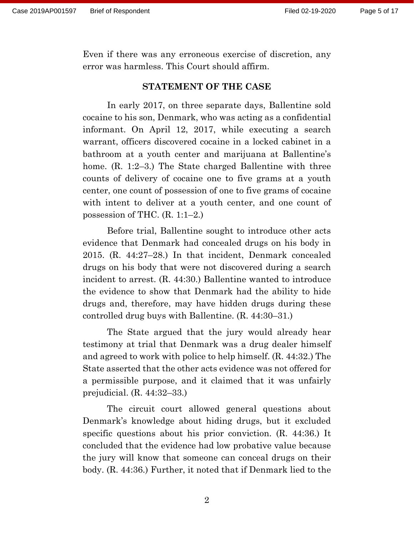Even if there was any erroneous exercise of discretion, any error was harmless. This Court should affirm.

### **STATEMENT OF THE CASE**

In early 2017, on three separate days, Ballentine sold cocaine to his son, Denmark, who was acting as a confidential informant. On April 12, 2017, while executing a search warrant, officers discovered cocaine in a locked cabinet in a bathroom at a youth center and marijuana at Ballentine's home. (R. 1:2–3.) The State charged Ballentine with three counts of delivery of cocaine one to five grams at a youth center, one count of possession of one to five grams of cocaine with intent to deliver at a youth center, and one count of possession of THC. (R. 1:1–2.)

Before trial, Ballentine sought to introduce other acts evidence that Denmark had concealed drugs on his body in 2015. (R. 44:27–28.) In that incident, Denmark concealed drugs on his body that were not discovered during a search incident to arrest. (R. 44:30.) Ballentine wanted to introduce the evidence to show that Denmark had the ability to hide drugs and, therefore, may have hidden drugs during these controlled drug buys with Ballentine. (R. 44:30–31.)

The State argued that the jury would already hear testimony at trial that Denmark was a drug dealer himself and agreed to work with police to help himself. (R. 44:32.) The State asserted that the other acts evidence was not offered for a permissible purpose, and it claimed that it was unfairly prejudicial. (R. 44:32–33.)

The circuit court allowed general questions about Denmark's knowledge about hiding drugs, but it excluded specific questions about his prior conviction. (R. 44:36.) It concluded that the evidence had low probative value because the jury will know that someone can conceal drugs on their body. (R. 44:36.) Further, it noted that if Denmark lied to the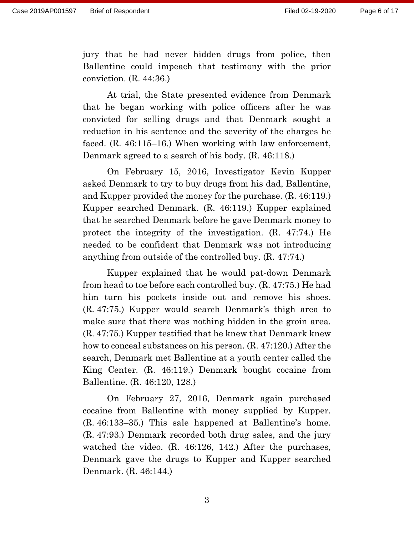jury that he had never hidden drugs from police, then Ballentine could impeach that testimony with the prior conviction. (R. 44:36.)

At trial, the State presented evidence from Denmark that he began working with police officers after he was convicted for selling drugs and that Denmark sought a reduction in his sentence and the severity of the charges he faced. (R. 46:115–16.) When working with law enforcement, Denmark agreed to a search of his body. (R. 46:118.)

On February 15, 2016, Investigator Kevin Kupper asked Denmark to try to buy drugs from his dad, Ballentine, and Kupper provided the money for the purchase. (R. 46:119.) Kupper searched Denmark. (R. 46:119.) Kupper explained that he searched Denmark before he gave Denmark money to protect the integrity of the investigation. (R. 47:74.) He needed to be confident that Denmark was not introducing anything from outside of the controlled buy. (R. 47:74.)

Kupper explained that he would pat-down Denmark from head to toe before each controlled buy. (R. 47:75.) He had him turn his pockets inside out and remove his shoes. (R. 47:75.) Kupper would search Denmark's thigh area to make sure that there was nothing hidden in the groin area. (R. 47:75.) Kupper testified that he knew that Denmark knew how to conceal substances on his person. (R. 47:120.) After the search, Denmark met Ballentine at a youth center called the King Center. (R. 46:119.) Denmark bought cocaine from Ballentine. (R. 46:120, 128.)

On February 27, 2016, Denmark again purchased cocaine from Ballentine with money supplied by Kupper. (R. 46:133–35.) This sale happened at Ballentine's home. (R. 47:93.) Denmark recorded both drug sales, and the jury watched the video. (R. 46:126, 142.) After the purchases, Denmark gave the drugs to Kupper and Kupper searched Denmark. (R. 46:144.)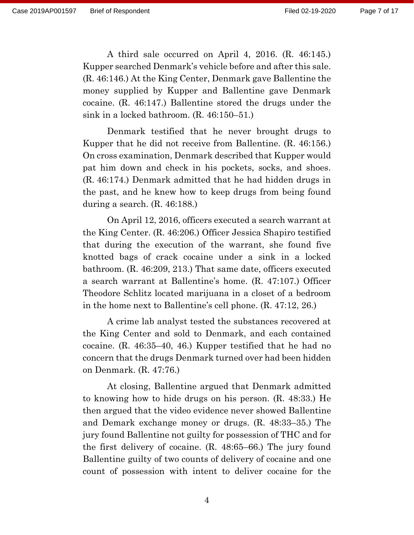A third sale occurred on April 4, 2016. (R. 46:145.) Kupper searched Denmark's vehicle before and after this sale. (R. 46:146.) At the King Center, Denmark gave Ballentine the money supplied by Kupper and Ballentine gave Denmark cocaine. (R. 46:147.) Ballentine stored the drugs under the sink in a locked bathroom. (R. 46:150–51.)

Denmark testified that he never brought drugs to Kupper that he did not receive from Ballentine. (R. 46:156.) On cross examination, Denmark described that Kupper would pat him down and check in his pockets, socks, and shoes. (R. 46:174.) Denmark admitted that he had hidden drugs in the past, and he knew how to keep drugs from being found during a search. (R. 46:188.)

On April 12, 2016, officers executed a search warrant at the King Center. (R. 46:206.) Officer Jessica Shapiro testified that during the execution of the warrant, she found five knotted bags of crack cocaine under a sink in a locked bathroom. (R. 46:209, 213.) That same date, officers executed a search warrant at Ballentine's home. (R. 47:107.) Officer Theodore Schlitz located marijuana in a closet of a bedroom in the home next to Ballentine's cell phone. (R. 47:12, 26.)

A crime lab analyst tested the substances recovered at the King Center and sold to Denmark, and each contained cocaine. (R. 46:35–40, 46.) Kupper testified that he had no concern that the drugs Denmark turned over had been hidden on Denmark. (R. 47:76.)

At closing, Ballentine argued that Denmark admitted to knowing how to hide drugs on his person. (R. 48:33.) He then argued that the video evidence never showed Ballentine and Demark exchange money or drugs. (R. 48:33–35.) The jury found Ballentine not guilty for possession of THC and for the first delivery of cocaine. (R. 48:65–66.) The jury found Ballentine guilty of two counts of delivery of cocaine and one count of possession with intent to deliver cocaine for the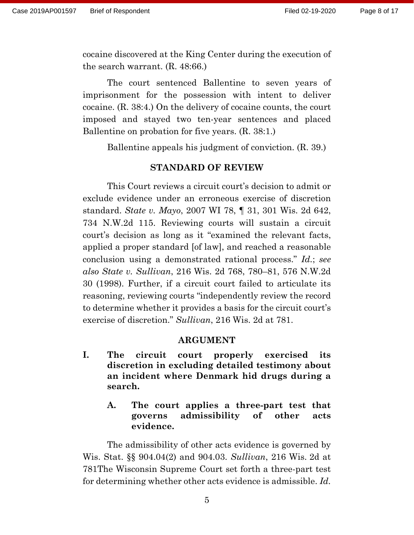cocaine discovered at the King Center during the execution of the search warrant. (R. 48:66.)

The court sentenced Ballentine to seven years of imprisonment for the possession with intent to deliver cocaine. (R. 38:4.) On the delivery of cocaine counts, the court imposed and stayed two ten-year sentences and placed Ballentine on probation for five years. (R. 38:1.)

Ballentine appeals his judgment of conviction. (R. 39.)

## **STANDARD OF REVIEW**

This Court reviews a circuit court's decision to admit or exclude evidence under an erroneous exercise of discretion standard. *State v. Mayo*, 2007 WI 78, ¶ 31, 301 Wis. 2d 642, 734 N.W.2d 115. Reviewing courts will sustain a circuit court's decision as long as it "examined the relevant facts, applied a proper standard [of law], and reached a reasonable conclusion using a demonstrated rational process." *Id.*; *see also State v. Sullivan*, 216 Wis. 2d 768, 780–81, 576 N.W.2d 30 (1998). Further, if a circuit court failed to articulate its reasoning, reviewing courts "independently review the record to determine whether it provides a basis for the circuit court's exercise of discretion." *Sullivan*, 216 Wis. 2d at 781.

#### **ARGUMENT**

- **I. The circuit court properly exercised its discretion in excluding detailed testimony about an incident where Denmark hid drugs during a search.** 
	- **A. The court applies a three-part test that governs admissibility of other acts evidence.**

The admissibility of other acts evidence is governed by Wis. Stat. §§ 904.04(2) and 904.03. *Sullivan*, 216 Wis. 2d at 781The Wisconsin Supreme Court set forth a three-part test for determining whether other acts evidence is admissible. *Id.*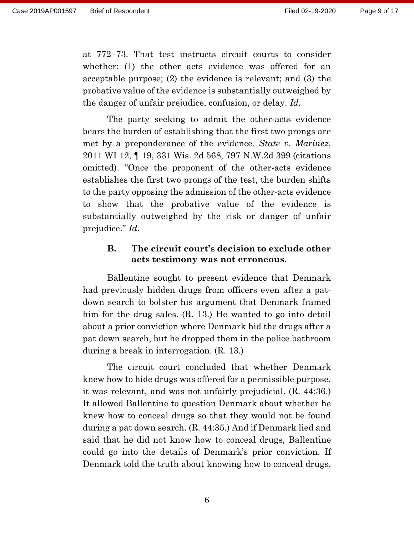at 772–73. That test instructs circuit courts to consider whether: (1) the other acts evidence was offered for an acceptable purpose; (2) the evidence is relevant; and (3) the probative value of the evidence is substantially outweighed by the danger of unfair prejudice, confusion, or delay. *Id.*

The party seeking to admit the other-acts evidence bears the burden of establishing that the first two prongs are met by a preponderance of the evidence. *State v. Marinez*, 2011 WI 12, ¶ 19, 331 Wis. 2d 568, 797 N.W.2d 399 (citations omitted). "Once the proponent of the other-acts evidence establishes the first two prongs of the test, the burden shifts to the party opposing the admission of the other-acts evidence to show that the probative value of the evidence is substantially outweighed by the risk or danger of unfair prejudice." *Id.*

## **B. The circuit court's decision to exclude other acts testimony was not erroneous.**

Ballentine sought to present evidence that Denmark had previously hidden drugs from officers even after a patdown search to bolster his argument that Denmark framed him for the drug sales. (R. 13.) He wanted to go into detail about a prior conviction where Denmark hid the drugs after a pat down search, but he dropped them in the police bathroom during a break in interrogation. (R. 13.)

The circuit court concluded that whether Denmark knew how to hide drugs was offered for a permissible purpose, it was relevant, and was not unfairly prejudicial. (R. 44:36.) It allowed Ballentine to question Denmark about whether he knew how to conceal drugs so that they would not be found during a pat down search. (R. 44:35.) And if Denmark lied and said that he did not know how to conceal drugs, Ballentine could go into the details of Denmark's prior conviction. If Denmark told the truth about knowing how to conceal drugs,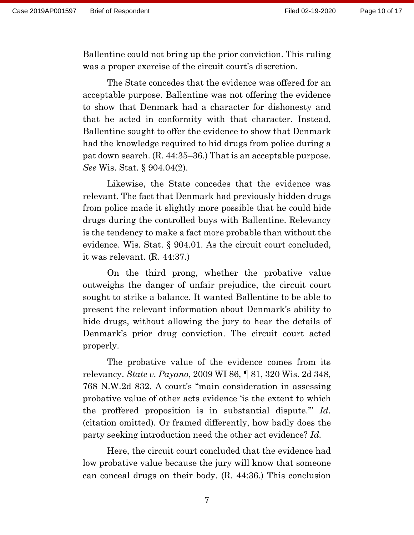Ballentine could not bring up the prior conviction. This ruling was a proper exercise of the circuit court's discretion.

The State concedes that the evidence was offered for an acceptable purpose. Ballentine was not offering the evidence to show that Denmark had a character for dishonesty and that he acted in conformity with that character. Instead, Ballentine sought to offer the evidence to show that Denmark had the knowledge required to hid drugs from police during a pat down search. (R. 44:35–36.) That is an acceptable purpose. *See* Wis. Stat. § 904.04(2).

Likewise, the State concedes that the evidence was relevant. The fact that Denmark had previously hidden drugs from police made it slightly more possible that he could hide drugs during the controlled buys with Ballentine. Relevancy is the tendency to make a fact more probable than without the evidence. Wis. Stat. § 904.01. As the circuit court concluded, it was relevant. (R. 44:37.)

On the third prong, whether the probative value outweighs the danger of unfair prejudice, the circuit court sought to strike a balance. It wanted Ballentine to be able to present the relevant information about Denmark's ability to hide drugs, without allowing the jury to hear the details of Denmark's prior drug conviction. The circuit court acted properly.

The probative value of the evidence comes from its relevancy. *State v. Payano*, 2009 WI 86, ¶ 81, 320 Wis. 2d 348, 768 N.W.2d 832. A court's "main consideration in assessing probative value of other acts evidence 'is the extent to which the proffered proposition is in substantial dispute.'" *Id.* (citation omitted). Or framed differently, how badly does the party seeking introduction need the other act evidence? *Id.* 

Here, the circuit court concluded that the evidence had low probative value because the jury will know that someone can conceal drugs on their body. (R. 44:36.) This conclusion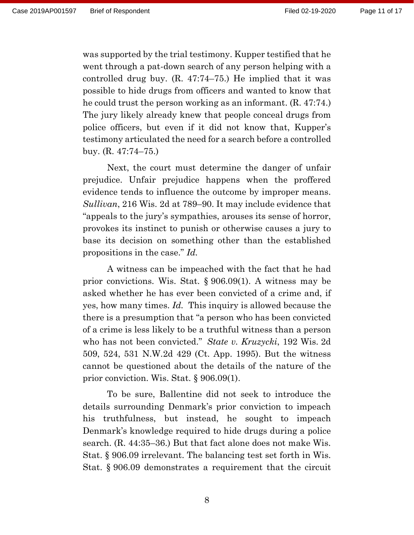was supported by the trial testimony. Kupper testified that he went through a pat-down search of any person helping with a controlled drug buy. (R. 47:74–75.) He implied that it was possible to hide drugs from officers and wanted to know that he could trust the person working as an informant. (R. 47:74.) The jury likely already knew that people conceal drugs from police officers, but even if it did not know that, Kupper's testimony articulated the need for a search before a controlled buy. (R. 47:74–75.)

Next, the court must determine the danger of unfair prejudice. Unfair prejudice happens when the proffered evidence tends to influence the outcome by improper means. *Sullivan*, 216 Wis. 2d at 789–90. It may include evidence that "appeals to the jury's sympathies, arouses its sense of horror, provokes its instinct to punish or otherwise causes a jury to base its decision on something other than the established propositions in the case." *Id.* 

A witness can be impeached with the fact that he had prior convictions. Wis. Stat. § 906.09(1). A witness may be asked whether he has ever been convicted of a crime and, if yes, how many times. *Id.* This inquiry is allowed because the there is a presumption that "a person who has been convicted of a crime is less likely to be a truthful witness than a person who has not been convicted." *State v. Kruzycki*, 192 Wis. 2d 509, 524, 531 N.W.2d 429 (Ct. App. 1995). But the witness cannot be questioned about the details of the nature of the prior conviction. Wis. Stat. § 906.09(1).

To be sure, Ballentine did not seek to introduce the details surrounding Denmark's prior conviction to impeach his truthfulness, but instead, he sought to impeach Denmark's knowledge required to hide drugs during a police search. (R. 44:35–36.) But that fact alone does not make Wis. Stat. § 906.09 irrelevant. The balancing test set forth in Wis. Stat. § 906.09 demonstrates a requirement that the circuit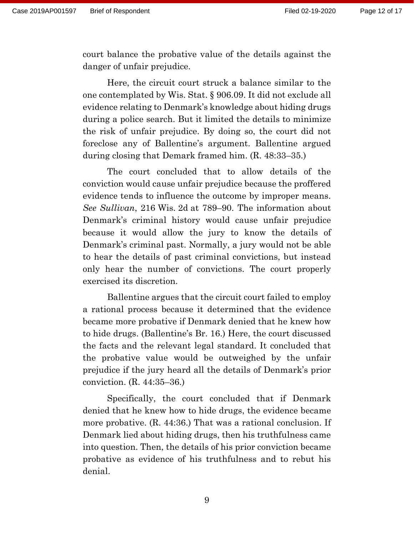court balance the probative value of the details against the danger of unfair prejudice.

Here, the circuit court struck a balance similar to the one contemplated by Wis. Stat. § 906.09. It did not exclude all evidence relating to Denmark's knowledge about hiding drugs during a police search. But it limited the details to minimize the risk of unfair prejudice. By doing so, the court did not foreclose any of Ballentine's argument. Ballentine argued during closing that Demark framed him. (R. 48:33–35.)

The court concluded that to allow details of the conviction would cause unfair prejudice because the proffered evidence tends to influence the outcome by improper means. *See Sullivan*, 216 Wis. 2d at 789–90. The information about Denmark's criminal history would cause unfair prejudice because it would allow the jury to know the details of Denmark's criminal past. Normally, a jury would not be able to hear the details of past criminal convictions, but instead only hear the number of convictions. The court properly exercised its discretion.

Ballentine argues that the circuit court failed to employ a rational process because it determined that the evidence became more probative if Denmark denied that he knew how to hide drugs. (Ballentine's Br. 16.) Here, the court discussed the facts and the relevant legal standard. It concluded that the probative value would be outweighed by the unfair prejudice if the jury heard all the details of Denmark's prior conviction. (R. 44:35–36.)

Specifically, the court concluded that if Denmark denied that he knew how to hide drugs, the evidence became more probative. (R. 44:36.) That was a rational conclusion. If Denmark lied about hiding drugs, then his truthfulness came into question. Then, the details of his prior conviction became probative as evidence of his truthfulness and to rebut his denial.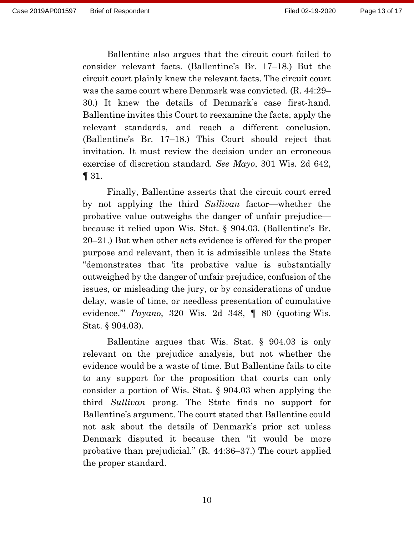Ballentine also argues that the circuit court failed to consider relevant facts. (Ballentine's Br. 17–18.) But the circuit court plainly knew the relevant facts. The circuit court was the same court where Denmark was convicted. (R. 44:29– 30.) It knew the details of Denmark's case first-hand. Ballentine invites this Court to reexamine the facts, apply the relevant standards, and reach a different conclusion. (Ballentine's Br. 17–18.) This Court should reject that invitation. It must review the decision under an erroneous exercise of discretion standard. *See Mayo*, 301 Wis. 2d 642, ¶ 31.

Finally, Ballentine asserts that the circuit court erred by not applying the third *Sullivan* factor—whether the probative value outweighs the danger of unfair prejudice because it relied upon Wis. Stat. § 904.03. (Ballentine's Br. 20–21.) But when other acts evidence is offered for the proper purpose and relevant, then it is admissible unless the State "demonstrates that 'its probative value is substantially outweighed by the danger of unfair prejudice, confusion of the issues, or misleading the jury, or by considerations of undue delay, waste of time, or needless presentation of cumulative evidence.'" *Payano*, 320 Wis. 2d 348, ¶ 80 (quoting Wis. Stat. § 904.03).

Ballentine argues that Wis. Stat. § 904.03 is only relevant on the prejudice analysis, but not whether the evidence would be a waste of time. But Ballentine fails to cite to any support for the proposition that courts can only consider a portion of Wis. Stat. § 904.03 when applying the third *Sullivan* prong. The State finds no support for Ballentine's argument. The court stated that Ballentine could not ask about the details of Denmark's prior act unless Denmark disputed it because then "it would be more probative than prejudicial." (R. 44:36–37.) The court applied the proper standard.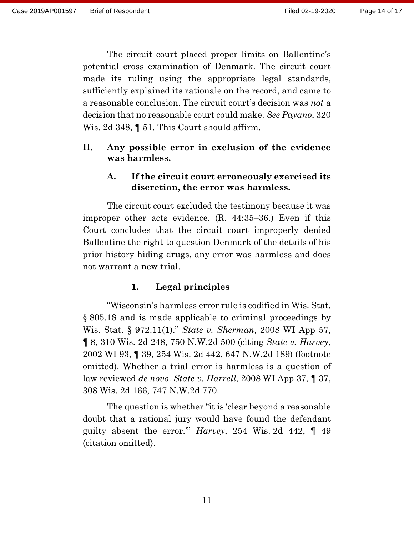The circuit court placed proper limits on Ballentine's potential cross examination of Denmark. The circuit court made its ruling using the appropriate legal standards, sufficiently explained its rationale on the record, and came to a reasonable conclusion. The circuit court's decision was *not* a decision that no reasonable court could make. *See Payano*, 320 Wis. 2d 348, ¶ 51. This Court should affirm.

## **II. Any possible error in exclusion of the evidence was harmless.**

## **A. If the circuit court erroneously exercised its discretion, the error was harmless.**

The circuit court excluded the testimony because it was improper other acts evidence. (R. 44:35–36.) Even if this Court concludes that the circuit court improperly denied Ballentine the right to question Denmark of the details of his prior history hiding drugs, any error was harmless and does not warrant a new trial.

# **1. Legal principles**

"Wisconsin's harmless error rule is codified in Wis. Stat. § 805.18 and is made applicable to criminal proceedings by Wis. Stat. § 972.11(1)." *State v. Sherman*, 2008 WI App 57, ¶ 8, 310 Wis. 2d 248, 750 N.W.2d 500 (citing *State v. Harvey*, 2002 WI 93, ¶ 39, 254 Wis. 2d 442, 647 N.W.2d 189) (footnote omitted). Whether a trial error is harmless is a question of law reviewed *de novo*. *State v. Harrell*, 2008 WI App 37, ¶ 37, 308 Wis. 2d 166, 747 N.W.2d 770.

The question is whether "it is 'clear beyond a reasonable doubt that a rational jury would have found the defendant guilty absent the error.'" *Harvey*, 254 Wis. 2d 442, ¶ 49 (citation omitted).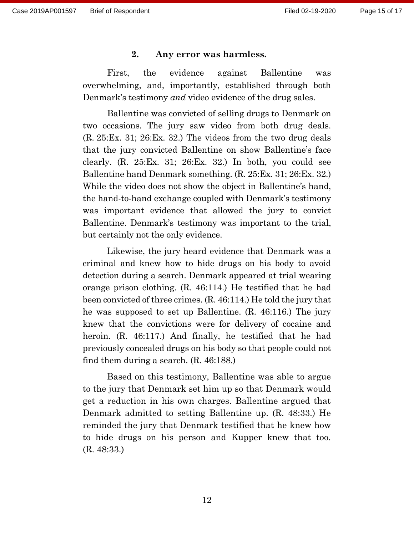#### **2. Any error was harmless.**

First, the evidence against Ballentine was overwhelming, and, importantly, established through both Denmark's testimony *and* video evidence of the drug sales.

Ballentine was convicted of selling drugs to Denmark on two occasions. The jury saw video from both drug deals. (R. 25:Ex. 31; 26:Ex. 32.) The videos from the two drug deals that the jury convicted Ballentine on show Ballentine's face clearly. (R. 25:Ex. 31; 26:Ex. 32.) In both, you could see Ballentine hand Denmark something. (R. 25:Ex. 31; 26:Ex. 32.) While the video does not show the object in Ballentine's hand, the hand-to-hand exchange coupled with Denmark's testimony was important evidence that allowed the jury to convict Ballentine. Denmark's testimony was important to the trial, but certainly not the only evidence.

Likewise, the jury heard evidence that Denmark was a criminal and knew how to hide drugs on his body to avoid detection during a search. Denmark appeared at trial wearing orange prison clothing. (R. 46:114.) He testified that he had been convicted of three crimes. (R. 46:114.) He told the jury that he was supposed to set up Ballentine. (R. 46:116.) The jury knew that the convictions were for delivery of cocaine and heroin. (R. 46:117.) And finally, he testified that he had previously concealed drugs on his body so that people could not find them during a search. (R. 46:188.)

Based on this testimony, Ballentine was able to argue to the jury that Denmark set him up so that Denmark would get a reduction in his own charges. Ballentine argued that Denmark admitted to setting Ballentine up. (R. 48:33.) He reminded the jury that Denmark testified that he knew how to hide drugs on his person and Kupper knew that too. (R. 48:33.)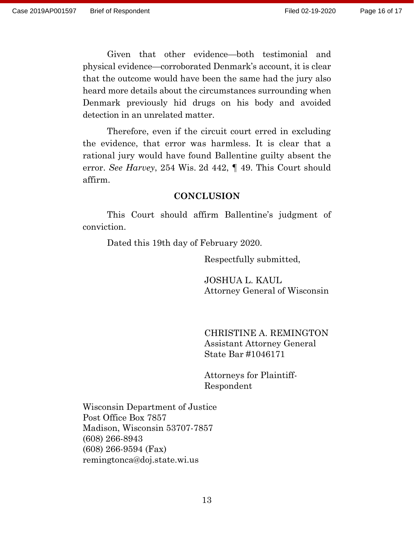Given that other evidence—both testimonial and physical evidence—corroborated Denmark's account, it is clear that the outcome would have been the same had the jury also heard more details about the circumstances surrounding when Denmark previously hid drugs on his body and avoided detection in an unrelated matter.

Therefore, even if the circuit court erred in excluding the evidence, that error was harmless. It is clear that a rational jury would have found Ballentine guilty absent the error. *See Harvey*, 254 Wis. 2d 442, ¶ 49. This Court should affirm.

### **CONCLUSION**

This Court should affirm Ballentine's judgment of conviction.

Dated this 19th day of February 2020.

Respectfully submitted,

JOSHUA L. KAUL Attorney General of Wisconsin

CHRISTINE A. REMINGTON Assistant Attorney General State Bar #1046171

Attorneys for Plaintiff-Respondent

Wisconsin Department of Justice Post Office Box 7857 Madison, Wisconsin 53707-7857 (608) 266-8943 (608) 266-9594 (Fax) remingtonca@doj.state.wi.us